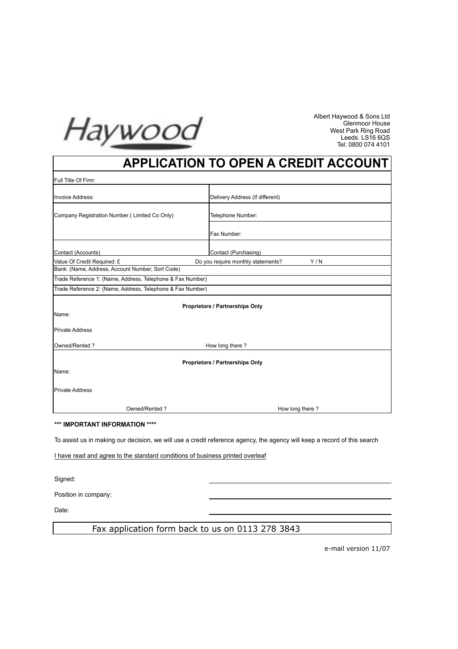

Albert Haywood & Sons Ltd Glenmoor House West Park Ring Road Leeds. LS16 6QS Tel: 0800 074 4101

# **APPLICATION TO OPEN A CREDIT ACCOUNT**

| Full Title Of Firm:                                        |                                           |
|------------------------------------------------------------|-------------------------------------------|
| Invoice Address:                                           | Delivery Address (If different)           |
| Company Registration Number (Limited Co Only)              | Telephone Number:                         |
|                                                            | Fax Number:                               |
| Contact (Accounts)                                         | Contact (Purchasing)                      |
| Value Of Credit Required: £                                | Do you require monthly statements?<br>Y/N |
| Bank: (Name, Address, Account Number, Sort Code)           |                                           |
| Trade Reference 1: (Name, Address, Telephone & Fax Number) |                                           |
| Trade Reference 2: (Name, Address, Telephone & Fax Number) |                                           |
| <b>Proprietors / Partnerships Only</b><br>Name:            |                                           |
| <b>Private Address</b>                                     |                                           |
| Owned/Rented?<br>How long there?                           |                                           |
| <b>Proprietors / Partnerships Only</b>                     |                                           |
| Name:                                                      |                                           |
| <b>Private Address</b>                                     |                                           |
| Owned/Rented?                                              | How long there?                           |

#### **\*\*\* IMPORTANT INFORMATION \*\*\*\***

To assist us in making our decision, we will use a credit reference agency, the agency will keep a record of this search

I have read and agree to the standard conditions of business printed overleaf

Signed:

Position in company:

Date:

# Fax application form back to us on 0113 278 3843

e-mail version 11/07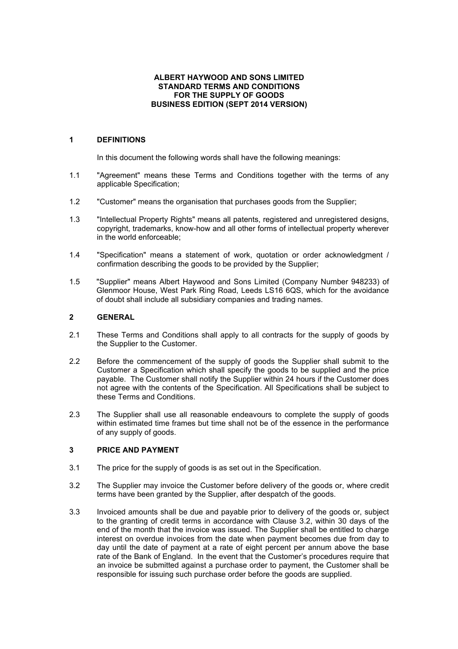#### **ALBERT HAYWOOD AND SONS LIMITED STANDARD TERMS AND CONDITIONS FOR THE SUPPLY OF GOODS BUSINESS EDITION (SEPT 2014 VERSION)**

# **1 DEFINITIONS**

In this document the following words shall have the following meanings:

- 1.1 "Agreement" means these Terms and Conditions together with the terms of any applicable Specification;
- 1.2 "Customer" means the organisation that purchases goods from the Supplier;
- 1.3 "Intellectual Property Rights" means all patents, registered and unregistered designs, copyright, trademarks, know-how and all other forms of intellectual property wherever in the world enforceable;
- 1.4 "Specification" means a statement of work, quotation or order acknowledgment / confirmation describing the goods to be provided by the Supplier;
- 1.5 "Supplier" means Albert Haywood and Sons Limited (Company Number 948233) of Glenmoor House, West Park Ring Road, Leeds LS16 6QS, which for the avoidance of doubt shall include all subsidiary companies and trading names.

# **2 GENERAL**

- 2.1 These Terms and Conditions shall apply to all contracts for the supply of goods by the Supplier to the Customer.
- 2.2 Before the commencement of the supply of goods the Supplier shall submit to the Customer a Specification which shall specify the goods to be supplied and the price payable. The Customer shall notify the Supplier within 24 hours if the Customer does not agree with the contents of the Specification. All Specifications shall be subject to these Terms and Conditions.
- 2.3 The Supplier shall use all reasonable endeavours to complete the supply of goods within estimated time frames but time shall not be of the essence in the performance of any supply of goods.

# **3 PRICE AND PAYMENT**

- 3.1 The price for the supply of goods is as set out in the Specification.
- 3.2 The Supplier may invoice the Customer before delivery of the goods or, where credit terms have been granted by the Supplier, after despatch of the goods.
- 3.3 Invoiced amounts shall be due and payable prior to delivery of the goods or, subject to the granting of credit terms in accordance with Clause 3.2, within 30 days of the end of the month that the invoice was issued. The Supplier shall be entitled to charge interest on overdue invoices from the date when payment becomes due from day to day until the date of payment at a rate of eight percent per annum above the base rate of the Bank of England. In the event that the Customer's procedures require that an invoice be submitted against a purchase order to payment, the Customer shall be responsible for issuing such purchase order before the goods are supplied.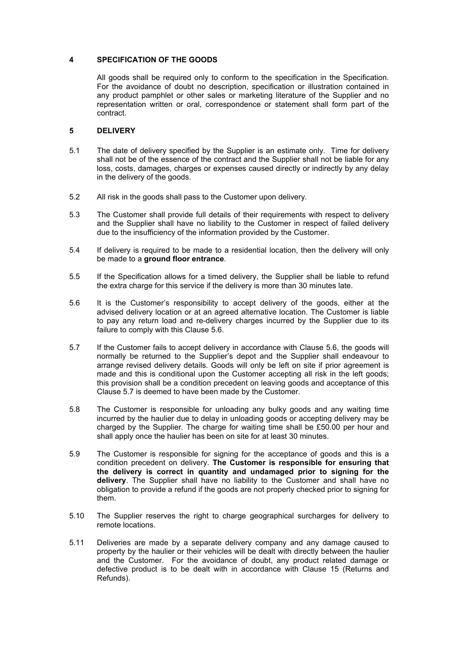## **4 SPECIFICATION OF THE GOODS**

All goods shall be required only to conform to the specification in the Specification. For the avoidance of doubt no description, specification or illustration contained in any product pamphlet or other sales or marketing literature of the Supplier and no representation written or oral, correspondence or statement shall form part of the contract.

# **5 DELIVERY**

- 5.1 The date of delivery specified by the Supplier is an estimate only. Time for delivery shall not be of the essence of the contract and the Supplier shall not be liable for any loss, costs, damages, charges or expenses caused directly or indirectly by any delay in the delivery of the goods.
- 5.2 All risk in the goods shall pass to the Customer upon delivery.
- 5.3 The Customer shall provide full details of their requirements with respect to delivery and the Supplier shall have no liability to the Customer in respect of failed delivery due to the insufficiency of the information provided by the Customer.
- 5.4 If delivery is required to be made to a residential location, then the delivery will only be made to a **ground floor entrance**.
- 5.5 If the Specification allows for a timed delivery, the Supplier shall be liable to refund the extra charge for this service if the delivery is more than 30 minutes late.
- 5.6 It is the Customer's responsibility to accept delivery of the goods, either at the advised delivery location or at an agreed alternative location. The Customer is liable to pay any return load and re-delivery charges incurred by the Supplier due to its failure to comply with this Clause 5.6.
- 5.7 If the Customer fails to accept delivery in accordance with Clause 5.6, the goods will normally be returned to the Supplier's depot and the Supplier shall endeavour to arrange revised delivery details. Goods will only be left on site if prior agreement is made and this is conditional upon the Customer accepting all risk in the left goods; this provision shall be a condition precedent on leaving goods and acceptance of this Clause 5.7 is deemed to have been made by the Customer.
- 5.8 The Customer is responsible for unloading any bulky goods and any waiting time incurred by the haulier due to delay in unloading goods or accepting delivery may be charged by the Supplier. The charge for waiting time shall be £50.00 per hour and shall apply once the haulier has been on site for at least 30 minutes.
- 5.9 The Customer is responsible for signing for the acceptance of goods and this is a condition precedent on delivery. **The Customer is responsible for ensuring that the delivery is correct in quantity and undamaged prior to signing for the delivery**. The Supplier shall have no liability to the Customer and shall have no obligation to provide a refund if the goods are not properly checked prior to signing for them.
- 5.10 The Supplier reserves the right to charge geographical surcharges for delivery to remote locations.
- 5.11 Deliveries are made by a separate delivery company and any damage caused to property by the haulier or their vehicles will be dealt with directly between the haulier and the Customer. For the avoidance of doubt, any product related damage or defective product is to be dealt with in accordance with Clause 15 (Returns and Refunds).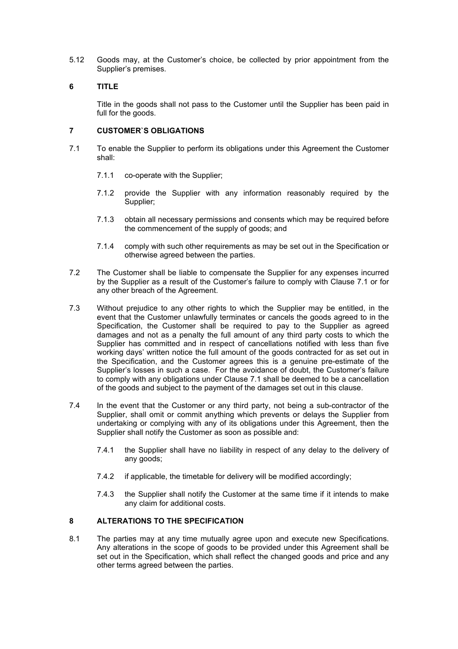5.12 Goods may, at the Customer's choice, be collected by prior appointment from the Supplier's premises.

# **6 TITLE**

Title in the goods shall not pass to the Customer until the Supplier has been paid in full for the goods.

# **7 CUSTOMER`S OBLIGATIONS**

- 7.1 To enable the Supplier to perform its obligations under this Agreement the Customer shall:
	- 7.1.1 co-operate with the Supplier;
	- 7.1.2 provide the Supplier with any information reasonably required by the Supplier;
	- 7.1.3 obtain all necessary permissions and consents which may be required before the commencement of the supply of goods; and
	- 7.1.4 comply with such other requirements as may be set out in the Specification or otherwise agreed between the parties.
- 7.2 The Customer shall be liable to compensate the Supplier for any expenses incurred by the Supplier as a result of the Customer's failure to comply with Clause 7.1 or for any other breach of the Agreement.
- 7.3 Without prejudice to any other rights to which the Supplier may be entitled, in the event that the Customer unlawfully terminates or cancels the goods agreed to in the Specification, the Customer shall be required to pay to the Supplier as agreed damages and not as a penalty the full amount of any third party costs to which the Supplier has committed and in respect of cancellations notified with less than five working days' written notice the full amount of the goods contracted for as set out in the Specification, and the Customer agrees this is a genuine pre-estimate of the Supplier's losses in such a case. For the avoidance of doubt, the Customer's failure to comply with any obligations under Clause 7.1 shall be deemed to be a cancellation of the goods and subject to the payment of the damages set out in this clause.
- 7.4 In the event that the Customer or any third party, not being a sub-contractor of the Supplier, shall omit or commit anything which prevents or delays the Supplier from undertaking or complying with any of its obligations under this Agreement, then the Supplier shall notify the Customer as soon as possible and:
	- 7.4.1 the Supplier shall have no liability in respect of any delay to the delivery of any goods;
	- 7.4.2 if applicable, the timetable for delivery will be modified accordingly;
	- 7.4.3 the Supplier shall notify the Customer at the same time if it intends to make any claim for additional costs.

# **8 ALTERATIONS TO THE SPECIFICATION**

8.1 The parties may at any time mutually agree upon and execute new Specifications. Any alterations in the scope of goods to be provided under this Agreement shall be set out in the Specification, which shall reflect the changed goods and price and any other terms agreed between the parties.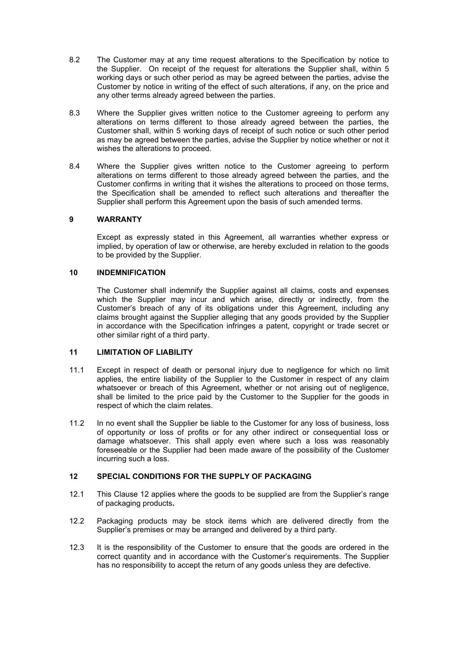- 8.2 The Customer may at any time request alterations to the Specification by notice to the Supplier. On receipt of the request for alterations the Supplier shall, within 5 working days or such other period as may be agreed between the parties, advise the Customer by notice in writing of the effect of such alterations, if any, on the price and any other terms already agreed between the parties.
- 8.3 Where the Supplier gives written notice to the Customer agreeing to perform any alterations on terms different to those already agreed between the parties, the Customer shall, within 5 working days of receipt of such notice or such other period as may be agreed between the parties, advise the Supplier by notice whether or not it wishes the alterations to proceed.
- 8.4 Where the Supplier gives written notice to the Customer agreeing to perform alterations on terms different to those already agreed between the parties, and the Customer confirms in writing that it wishes the alterations to proceed on those terms, the Specification shall be amended to reflect such alterations and thereafter the Supplier shall perform this Agreement upon the basis of such amended terms.

#### **9 WARRANTY**

Except as expressly stated in this Agreement, all warranties whether express or implied, by operation of law or otherwise, are hereby excluded in relation to the goods to be provided by the Supplier.

#### **10 INDEMNIFICATION**

The Customer shall indemnify the Supplier against all claims, costs and expenses which the Supplier may incur and which arise, directly or indirectly, from the Customer's breach of any of its obligations under this Agreement, including any claims brought against the Supplier alleging that any goods provided by the Supplier in accordance with the Specification infringes a patent, copyright or trade secret or other similar right of a third party.

### **11 LIMITATION OF LIABILITY**

- 11.1 Except in respect of death or personal injury due to negligence for which no limit applies, the entire liability of the Supplier to the Customer in respect of any claim whatsoever or breach of this Agreement, whether or not arising out of negligence, shall be limited to the price paid by the Customer to the Supplier for the goods in respect of which the claim relates.
- 11.2 In no event shall the Supplier be liable to the Customer for any loss of business, loss of opportunity or loss of profits or for any other indirect or consequential loss or damage whatsoever. This shall apply even where such a loss was reasonably foreseeable or the Supplier had been made aware of the possibility of the Customer incurring such a loss.

#### **12 SPECIAL CONDITIONS FOR THE SUPPLY OF PACKAGING**

- 12.1 This Clause 12 applies where the goods to be supplied are from the Supplier's range of packaging products**.**
- 12.2 Packaging products may be stock items which are delivered directly from the Supplier's premises or may be arranged and delivered by a third party.
- 12.3 It is the responsibility of the Customer to ensure that the goods are ordered in the correct quantity and in accordance with the Customer's requirements. The Supplier has no responsibility to accept the return of any goods unless they are defective.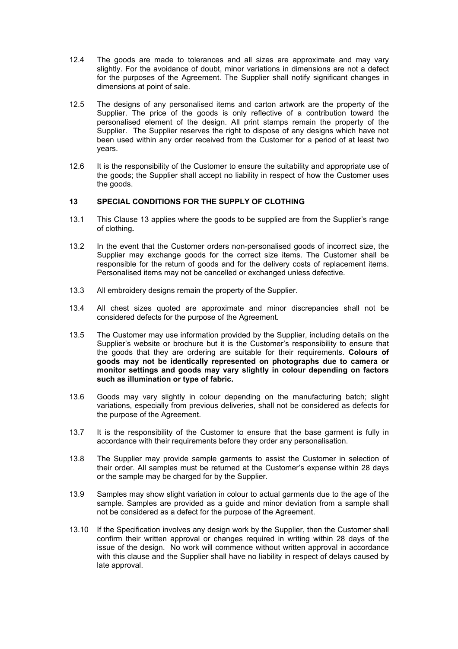- 12.4 The goods are made to tolerances and all sizes are approximate and may vary slightly. For the avoidance of doubt, minor variations in dimensions are not a defect for the purposes of the Agreement. The Supplier shall notify significant changes in dimensions at point of sale.
- 12.5 The designs of any personalised items and carton artwork are the property of the Supplier. The price of the goods is only reflective of a contribution toward the personalised element of the design. All print stamps remain the property of the Supplier. The Supplier reserves the right to dispose of any designs which have not been used within any order received from the Customer for a period of at least two years.
- 12.6 It is the responsibility of the Customer to ensure the suitability and appropriate use of the goods; the Supplier shall accept no liability in respect of how the Customer uses the goods.

#### **13 SPECIAL CONDITIONS FOR THE SUPPLY OF CLOTHING**

- 13.1 This Clause 13 applies where the goods to be supplied are from the Supplier's range of clothing**.**
- 13.2 In the event that the Customer orders non-personalised goods of incorrect size, the Supplier may exchange goods for the correct size items. The Customer shall be responsible for the return of goods and for the delivery costs of replacement items. Personalised items may not be cancelled or exchanged unless defective.
- 13.3 All embroidery designs remain the property of the Supplier.
- 13.4 All chest sizes quoted are approximate and minor discrepancies shall not be considered defects for the purpose of the Agreement.
- 13.5 The Customer may use information provided by the Supplier, including details on the Supplier's website or brochure but it is the Customer's responsibility to ensure that the goods that they are ordering are suitable for their requirements. **Colours of goods may not be identically represented on photographs due to camera or monitor settings and goods may vary slightly in colour depending on factors such as illumination or type of fabric.**
- 13.6 Goods may vary slightly in colour depending on the manufacturing batch; slight variations, especially from previous deliveries, shall not be considered as defects for the purpose of the Agreement.
- 13.7 It is the responsibility of the Customer to ensure that the base garment is fully in accordance with their requirements before they order any personalisation.
- 13.8 The Supplier may provide sample garments to assist the Customer in selection of their order. All samples must be returned at the Customer's expense within 28 days or the sample may be charged for by the Supplier.
- 13.9 Samples may show slight variation in colour to actual garments due to the age of the sample. Samples are provided as a guide and minor deviation from a sample shall not be considered as a defect for the purpose of the Agreement.
- 13.10 If the Specification involves any design work by the Supplier, then the Customer shall confirm their written approval or changes required in writing within 28 days of the issue of the design. No work will commence without written approval in accordance with this clause and the Supplier shall have no liability in respect of delays caused by late approval.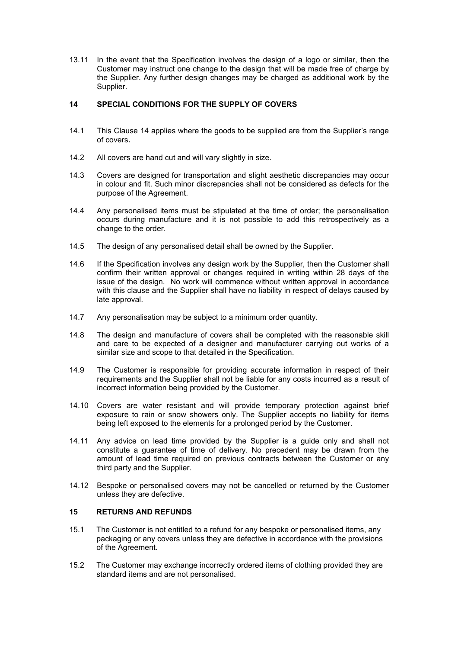13.11 In the event that the Specification involves the design of a logo or similar, then the Customer may instruct one change to the design that will be made free of charge by the Supplier. Any further design changes may be charged as additional work by the Supplier.

## **14 SPECIAL CONDITIONS FOR THE SUPPLY OF COVERS**

- 14.1 This Clause 14 applies where the goods to be supplied are from the Supplier's range of covers**.**
- 14.2 All covers are hand cut and will vary slightly in size.
- 14.3 Covers are designed for transportation and slight aesthetic discrepancies may occur in colour and fit. Such minor discrepancies shall not be considered as defects for the purpose of the Agreement.
- 14.4 Any personalised items must be stipulated at the time of order; the personalisation occurs during manufacture and it is not possible to add this retrospectively as a change to the order.
- 14.5 The design of any personalised detail shall be owned by the Supplier.
- 14.6 If the Specification involves any design work by the Supplier, then the Customer shall confirm their written approval or changes required in writing within 28 days of the issue of the design. No work will commence without written approval in accordance with this clause and the Supplier shall have no liability in respect of delays caused by late approval.
- 14.7 Any personalisation may be subject to a minimum order quantity.
- 14.8 The design and manufacture of covers shall be completed with the reasonable skill and care to be expected of a designer and manufacturer carrying out works of a similar size and scope to that detailed in the Specification.
- 14.9 The Customer is responsible for providing accurate information in respect of their requirements and the Supplier shall not be liable for any costs incurred as a result of incorrect information being provided by the Customer.
- 14.10 Covers are water resistant and will provide temporary protection against brief exposure to rain or snow showers only. The Supplier accepts no liability for items being left exposed to the elements for a prolonged period by the Customer.
- 14.11 Any advice on lead time provided by the Supplier is a guide only and shall not constitute a guarantee of time of delivery. No precedent may be drawn from the amount of lead time required on previous contracts between the Customer or any third party and the Supplier.
- 14.12 Bespoke or personalised covers may not be cancelled or returned by the Customer unless they are defective.

# **15 RETURNS AND REFUNDS**

- 15.1 The Customer is not entitled to a refund for any bespoke or personalised items, any packaging or any covers unless they are defective in accordance with the provisions of the Agreement.
- 15.2 The Customer may exchange incorrectly ordered items of clothing provided they are standard items and are not personalised.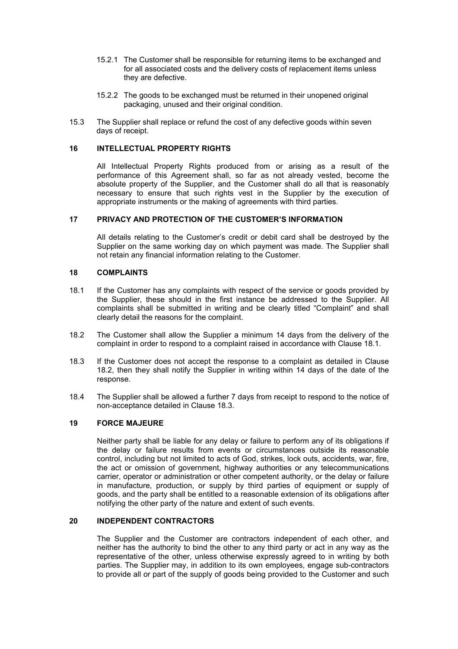- 15.2.1 The Customer shall be responsible for returning items to be exchanged and for all associated costs and the delivery costs of replacement items unless they are defective.
- 15.2.2 The goods to be exchanged must be returned in their unopened original packaging, unused and their original condition.
- 15.3 The Supplier shall replace or refund the cost of any defective goods within seven days of receipt.

#### **16 INTELLECTUAL PROPERTY RIGHTS**

All Intellectual Property Rights produced from or arising as a result of the performance of this Agreement shall, so far as not already vested, become the absolute property of the Supplier, and the Customer shall do all that is reasonably necessary to ensure that such rights vest in the Supplier by the execution of appropriate instruments or the making of agreements with third parties.

#### **17 PRIVACY AND PROTECTION OF THE CUSTOMER'S INFORMATION**

All details relating to the Customer's credit or debit card shall be destroyed by the Supplier on the same working day on which payment was made. The Supplier shall not retain any financial information relating to the Customer.

#### **18 COMPLAINTS**

- 18.1 If the Customer has any complaints with respect of the service or goods provided by the Supplier, these should in the first instance be addressed to the Supplier. All complaints shall be submitted in writing and be clearly titled "Complaint" and shall clearly detail the reasons for the complaint.
- 18.2 The Customer shall allow the Supplier a minimum 14 days from the delivery of the complaint in order to respond to a complaint raised in accordance with Clause 18.1.
- 18.3 If the Customer does not accept the response to a complaint as detailed in Clause 18.2, then they shall notify the Supplier in writing within 14 days of the date of the response.
- 18.4 The Supplier shall be allowed a further 7 days from receipt to respond to the notice of non-acceptance detailed in Clause 18.3.

#### **19 FORCE MAJEURE**

Neither party shall be liable for any delay or failure to perform any of its obligations if the delay or failure results from events or circumstances outside its reasonable control, including but not limited to acts of God, strikes, lock outs, accidents, war, fire, the act or omission of government, highway authorities or any telecommunications carrier, operator or administration or other competent authority, or the delay or failure in manufacture, production, or supply by third parties of equipment or supply of goods, and the party shall be entitled to a reasonable extension of its obligations after notifying the other party of the nature and extent of such events.

# **20 INDEPENDENT CONTRACTORS**

The Supplier and the Customer are contractors independent of each other, and neither has the authority to bind the other to any third party or act in any way as the representative of the other, unless otherwise expressly agreed to in writing by both parties. The Supplier may, in addition to its own employees, engage sub-contractors to provide all or part of the supply of goods being provided to the Customer and such